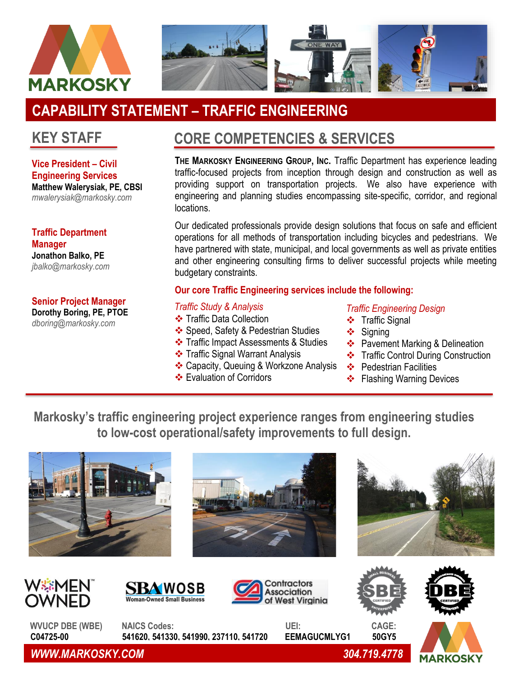

# **CAPABILITY STATEMENT – TRAFFIC ENGINEERING**

## **KEY STAFF**

**Vice President – Civil Engineering Services Matthew Walerysiak, PE, CBSI** *mwalerysiak@markosky.com*

**Traffic Department Manager Jonathon Balko, PE** *jbalko@markosky.com*

**Senior Project Manager Dorothy Boring, PE, PTOE**

*dboring@markosky.com*

## **CORE COMPETENCIES & SERVICES**

**THE MARKOSKY ENGINEERING GROUP, INC.** Traffic Department has experience leading traffic-focused projects from inception through design and construction as well as providing support on transportation projects. We also have experience with engineering and planning studies encompassing site-specific, corridor, and regional locations.

Our dedicated professionals provide design solutions that focus on safe and efficient operations for all methods of transportation including bicycles and pedestrians. We have partnered with state, municipal, and local governments as well as private entities and other engineering consulting firms to deliver successful projects while meeting budgetary constraints.

### **Our core Traffic Engineering services include the following:**

#### *Traffic Study & Analysis*

- ❖ Traffic Data Collection
- ❖ Speed, Safety & Pedestrian Studies
- ❖ Traffic Impact Assessments & Studies
- ❖ Traffic Signal Warrant Analysis
- ❖ Capacity, Queuing & Workzone Analysis
- ❖ Evaluation of Corridors

### *Traffic Engineering Design*

- ❖ Traffic Signal
- ❖ Signing
- ❖ Pavement Marking & Delineation
- ❖ Traffic Control During Construction
- ❖ Pedestrian Facilities
- ❖ Flashing Warning Devices

**Markosky's traffic engineering project experience ranges from engineering studies to low-cost operational/safety improvements to full design.**

















**WVUCP DBE (WBE) NAICS Codes: UEI: CAGE: C04725-00 541620, 541330, 541990, 237110, 541720 EEMAGUCMLYG1 50GY5**